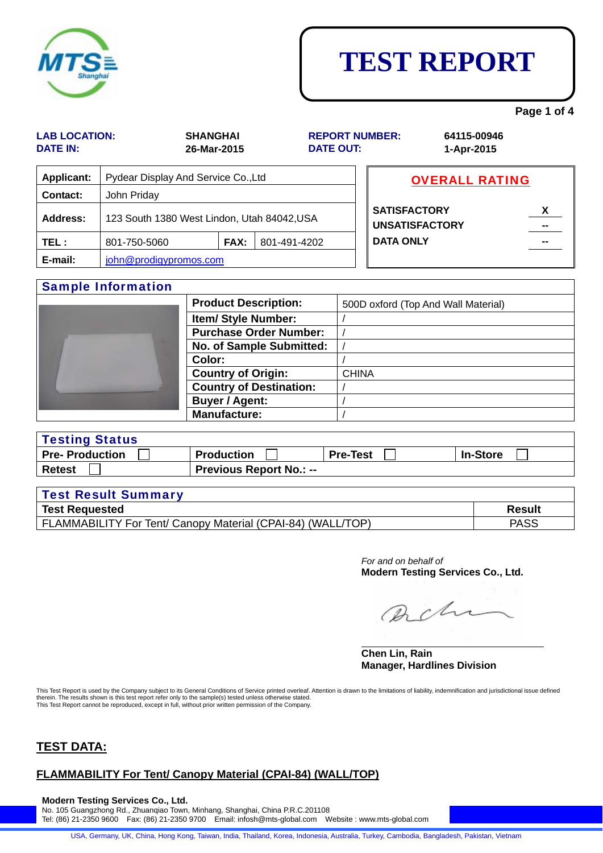|                                         |                                             |                                |                  |                                              |                           | Faye I OI 4 |  |
|-----------------------------------------|---------------------------------------------|--------------------------------|------------------|----------------------------------------------|---------------------------|-------------|--|
| <b>LAB LOCATION:</b><br><b>DATE IN:</b> |                                             | <b>SHANGHAI</b><br>26-Mar-2015 | <b>DATE OUT:</b> | <b>REPORT NUMBER:</b>                        | 64115-00946<br>1-Apr-2015 |             |  |
| <b>Applicant:</b>                       | Pydear Display And Service Co., Ltd         |                                |                  |                                              | <b>OVERALL RATING</b>     |             |  |
| <b>Contact:</b>                         | John Priday                                 |                                |                  |                                              |                           |             |  |
| Address:                                | 123 South 1380 West Lindon, Utah 84042, USA |                                |                  | <b>SATISFACTORY</b><br><b>UNSATISFACTORY</b> | X                         |             |  |
| TEL :                                   | 801-750-5060                                | <b>FAX:</b>                    | 801-491-4202     | <b>DATA ONLY</b>                             |                           |             |  |
| E-mail:                                 | john@prodigypromos.com                      |                                |                  |                                              |                           |             |  |
|                                         | <b>Sample Information</b>                   |                                |                  |                                              |                           |             |  |

### **Country of Destination: Buyer / Agent:**  $\vert$  / **Manufacture:** / Testing Status **Pre- Production Production Pre-Test Pre-Test Production Pre-Test Pre-Test Production Pre-Test Pre-Test Production**

**Country of Origin:** CHINA

**Item/ Style Number:** 

Color:

**Purchase Order Number:** /

| <b>Retest</b>              | <b>Previous Report No.: --</b> |  |               |  |  |
|----------------------------|--------------------------------|--|---------------|--|--|
|                            |                                |  |               |  |  |
| <b>Test Result Summary</b> |                                |  |               |  |  |
| <b>Toot Domunated</b>      |                                |  | <b>Docult</b> |  |  |

| <b>Test Requested</b>                                                              | Result      |
|------------------------------------------------------------------------------------|-------------|
| (TOP<br>r Tent/ Canopy Material (CPAI-84)<br>(WALL<br>-AMMABILITY For <sup>:</sup> | <b>PASS</b> |

*For and on behalf of* **Modern Testing Services Co., Ltd.** 

Pacha

#### $\overline{a}$ **Chen Lin, Rain Manager, Hardlines Division**

This Test Report is used by the Company subject to its General Conditions of Service printed overleaf. Attention is drawn to the limitations of liability, indemnification and jurisdictional issue defined therein. The results shown is this test report refer only to the sample(s) tested unless otherwise stated. This Test Report cannot be reproduced, except in full, without prior written permission of the Company.

### **TEST DATA:**

### **FLAMMABILITY For Tent/ Canopy Material (CPAI-84) (WALL/TOP)**

**Modern Testing Services Co., Ltd.**  No. 105 Guangzhong Rd., Zhuanqiao Town, Minhang, Shanghai, China P.R.C.201108 Tel: (86) 21-2350 9600 Fax: (86) 21-2350 9700 Email: infosh@mts-global.com Website : www.mts-global.com

USA, Germany, UK, China, Hong Kong, Taiwan, India, Thailand, Korea, Indonesia, Australia, Turkey, Cambodia, Bangladesh, Pakistan, Vietnam



### **TEST REPORT**

**Page 1 of 4** 

**No. of Sample Submitted:** /

**Product Description:** | 500D oxford (Top And Wall Material)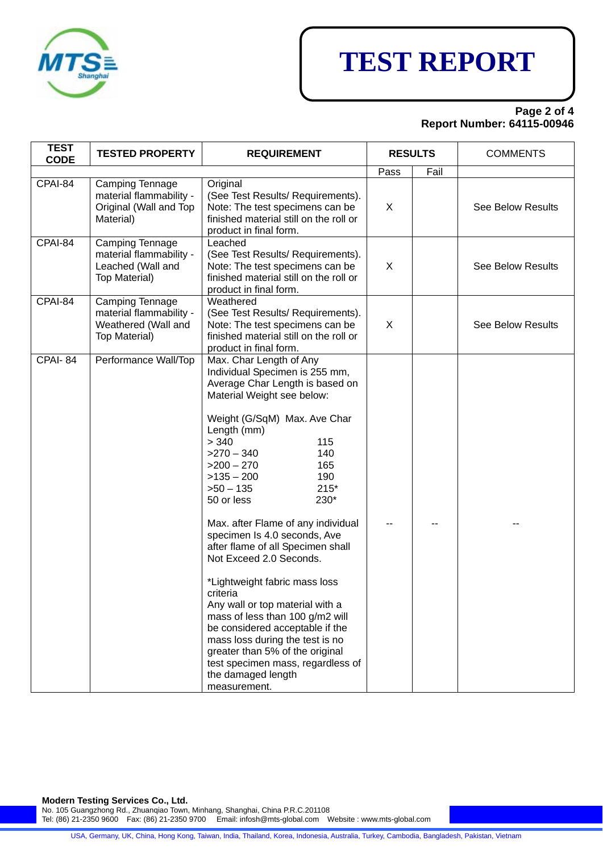

# **TEST REPORT**

### **Page 2 of 4 Report Number: 64115-00946**

| <b>TEST</b><br><b>CODE</b> | <b>TESTED PROPERTY</b>                                                                  | <b>REQUIREMENT</b>                                                                                                                                                                                                                                                                                                                                                                                                                                                                                                                                                                                                                                                                                                                                       | <b>RESULTS</b> |      | <b>COMMENTS</b>          |
|----------------------------|-----------------------------------------------------------------------------------------|----------------------------------------------------------------------------------------------------------------------------------------------------------------------------------------------------------------------------------------------------------------------------------------------------------------------------------------------------------------------------------------------------------------------------------------------------------------------------------------------------------------------------------------------------------------------------------------------------------------------------------------------------------------------------------------------------------------------------------------------------------|----------------|------|--------------------------|
|                            |                                                                                         |                                                                                                                                                                                                                                                                                                                                                                                                                                                                                                                                                                                                                                                                                                                                                          | Pass           | Fail |                          |
| CPAI-84                    | Camping Tennage<br>material flammability -<br>Original (Wall and Top<br>Material)       | Original<br>(See Test Results/ Requirements).<br>Note: The test specimens can be<br>finished material still on the roll or<br>product in final form.                                                                                                                                                                                                                                                                                                                                                                                                                                                                                                                                                                                                     | X              |      | <b>See Below Results</b> |
| CPAI-84                    | Camping Tennage<br>material flammability -<br>Leached (Wall and<br><b>Top Material)</b> | Leached<br>(See Test Results/ Requirements).<br>Note: The test specimens can be<br>finished material still on the roll or<br>product in final form.                                                                                                                                                                                                                                                                                                                                                                                                                                                                                                                                                                                                      | X              |      | <b>See Below Results</b> |
| CPAI-84                    | Camping Tennage<br>material flammability -<br>Weathered (Wall and<br>Top Material)      | Weathered<br>(See Test Results/ Requirements).<br>Note: The test specimens can be<br>finished material still on the roll or<br>product in final form.                                                                                                                                                                                                                                                                                                                                                                                                                                                                                                                                                                                                    | X              |      | See Below Results        |
| CPAI-84                    | Performance Wall/Top                                                                    | Max. Char Length of Any<br>Individual Specimen is 255 mm,<br>Average Char Length is based on<br>Material Weight see below:<br>Weight (G/SqM) Max. Ave Char<br>Length (mm)<br>> 340<br>115<br>$>270 - 340$<br>140<br>$>200 - 270$<br>165<br>$>135-200$<br>190<br>$>50 - 135$<br>$215*$<br>50 or less<br>230*<br>Max. after Flame of any individual<br>specimen Is 4.0 seconds, Ave<br>after flame of all Specimen shall<br>Not Exceed 2.0 Seconds.<br>*Lightweight fabric mass loss<br>criteria<br>Any wall or top material with a<br>mass of less than 100 g/m2 will<br>be considered acceptable if the<br>mass loss during the test is no<br>greater than 5% of the original<br>test specimen mass, regardless of<br>the damaged length<br>measurement. |                |      |                          |

**Modern Testing Services Co., Ltd.** 

No. 105 Guangzhong Rd., Zhuanqiao Town, Minhang, Shanghai, China P.R.C.201108

Tel: (86) 21-2350 9600 Fax: (86) 21-2350 9700 Email: infosh@mts-global.com Website : www.mts-global.com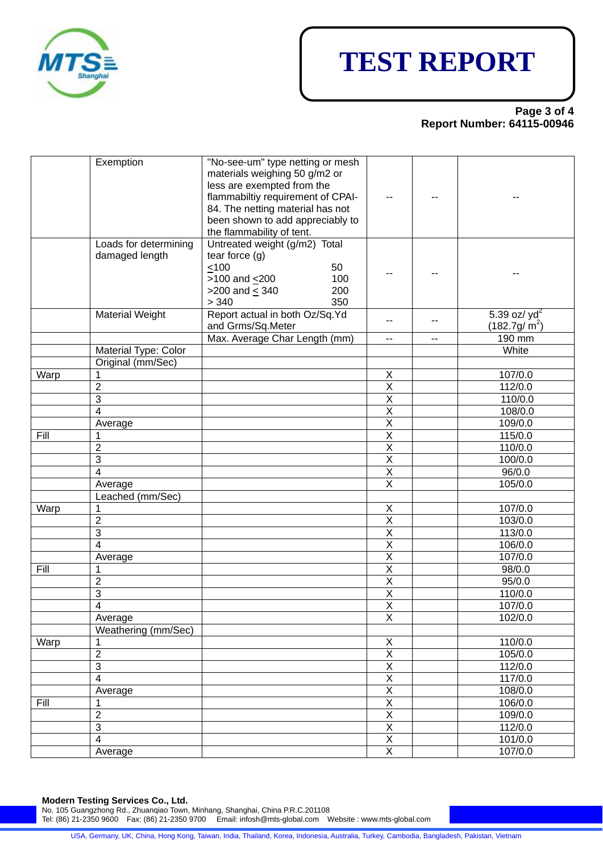

# **TEST REPORT**

#### **Page 3 of 4 Report Number: 64115-00946**

|      | Exemption                               | "No-see-um" type netting or mesh<br>materials weighing 50 g/m2 or<br>less are exempted from the<br>flammabiltiy requirement of CPAI-<br>84. The netting material has not<br>been shown to add appreciably to<br>the flammability of tent. | --                       |                |                                   |
|------|-----------------------------------------|-------------------------------------------------------------------------------------------------------------------------------------------------------------------------------------------------------------------------------------------|--------------------------|----------------|-----------------------------------|
|      | Loads for determining<br>damaged length | Untreated weight (g/m2) Total<br>tear force $(g)$<br>100<br>50<br>$>100$ and $\leq 200$<br>100<br>>200 and $\leq$ 340<br>200<br>> 340<br>350                                                                                              |                          |                |                                   |
|      | <b>Material Weight</b>                  | Report actual in both Oz/Sq.Yd<br>and Grms/Sq.Meter                                                                                                                                                                                       | $- -$                    | $\overline{a}$ | 5.39 oz/ $yd^2$<br>$(182.7g/m^2)$ |
|      |                                         | Max. Average Char Length (mm)                                                                                                                                                                                                             | $\overline{\phantom{a}}$ | --             | 190 mm                            |
|      | Material Type: Color                    |                                                                                                                                                                                                                                           |                          |                | White                             |
|      | Original (mm/Sec)                       |                                                                                                                                                                                                                                           |                          |                |                                   |
| Warp | 1                                       |                                                                                                                                                                                                                                           | X                        |                | 107/0.0                           |
|      | $\overline{2}$                          |                                                                                                                                                                                                                                           | $\overline{\mathsf{X}}$  |                | 112/0.0                           |
|      | 3                                       |                                                                                                                                                                                                                                           | $\overline{\mathsf{x}}$  |                | 110/0.0                           |
|      | 4                                       |                                                                                                                                                                                                                                           | $\overline{\mathsf{x}}$  |                | 108/0.0                           |
|      | Average                                 |                                                                                                                                                                                                                                           | $\overline{\mathsf{x}}$  |                | 109/0.0                           |
| Fill | 1                                       |                                                                                                                                                                                                                                           | $\overline{\mathsf{x}}$  |                | 115/0.0                           |
|      | $\overline{2}$                          |                                                                                                                                                                                                                                           | $\overline{\mathsf{X}}$  |                | 110/0.0                           |
|      | 3                                       |                                                                                                                                                                                                                                           | $\overline{\mathsf{x}}$  |                | 100/0.0                           |
|      | 4                                       |                                                                                                                                                                                                                                           | $\overline{\mathsf{x}}$  |                | 96/0.0                            |
|      | Average                                 |                                                                                                                                                                                                                                           | $\overline{\mathsf{x}}$  |                | 105/0.0                           |
|      | Leached (mm/Sec)                        |                                                                                                                                                                                                                                           |                          |                |                                   |
| Warp | 1                                       |                                                                                                                                                                                                                                           | X                        |                | 107/0.0                           |
|      | $\overline{2}$                          |                                                                                                                                                                                                                                           | $\overline{\mathsf{X}}$  |                | 103/0.0                           |
|      | 3                                       |                                                                                                                                                                                                                                           | $\overline{X}$           |                | 113/0.0                           |
|      | 4                                       |                                                                                                                                                                                                                                           | $\overline{\mathsf{x}}$  |                | 106/0.0                           |
|      |                                         |                                                                                                                                                                                                                                           | $\overline{\mathsf{x}}$  |                |                                   |
|      | Average                                 |                                                                                                                                                                                                                                           |                          |                | 107/0.0                           |
| Fill | 1                                       |                                                                                                                                                                                                                                           | $\overline{\mathsf{X}}$  |                | 98/0.0                            |
|      | $\overline{2}$                          |                                                                                                                                                                                                                                           | $\overline{\mathsf{X}}$  |                | 95/0.0                            |
|      | 3                                       |                                                                                                                                                                                                                                           | $\overline{X}$           |                | 110/0.0                           |
|      | 4                                       |                                                                                                                                                                                                                                           | $\overline{X}$           |                | 107/0.0                           |
|      | Average                                 |                                                                                                                                                                                                                                           | $\overline{X}$           |                | 102/0.0                           |
|      | Weathering (mm/Sec)                     |                                                                                                                                                                                                                                           |                          |                |                                   |
| Warp |                                         |                                                                                                                                                                                                                                           | Χ                        |                | 110/0.0                           |
|      | $\overline{2}$                          |                                                                                                                                                                                                                                           | $\overline{X}$           |                | 105/0.0                           |
|      | 3                                       |                                                                                                                                                                                                                                           | $\overline{\mathsf{X}}$  |                | 112/0.0                           |
|      | $\overline{\mathbf{4}}$                 |                                                                                                                                                                                                                                           | $\overline{\mathsf{X}}$  |                | 117/0.0                           |
|      | Average                                 |                                                                                                                                                                                                                                           | $\overline{\mathsf{X}}$  |                | 108/0.0                           |
| Fill | 1                                       |                                                                                                                                                                                                                                           | $\overline{\mathsf{X}}$  |                | 106/0.0                           |
|      | $\overline{2}$                          |                                                                                                                                                                                                                                           | $\overline{X}$           |                | 109/0.0                           |
|      | 3                                       |                                                                                                                                                                                                                                           | $\overline{\mathsf{X}}$  |                | 112/0.0                           |
|      | $\overline{\mathbf{4}}$                 |                                                                                                                                                                                                                                           | $\overline{\mathsf{X}}$  |                | 101/0.0                           |
|      | Average                                 |                                                                                                                                                                                                                                           | $\overline{\mathsf{X}}$  |                | 107/0.0                           |
|      |                                         |                                                                                                                                                                                                                                           |                          |                |                                   |

**Modern Testing Services Co., Ltd.** 

No. 105 Guangzhong Rd., Zhuanqiao Town, Minhang, Shanghai, China P.R.C.201108

Tel: (86) 21-2350 9600 Fax: (86) 21-2350 9700 Email: infosh@mts-global.com Website : www.mts-global.com